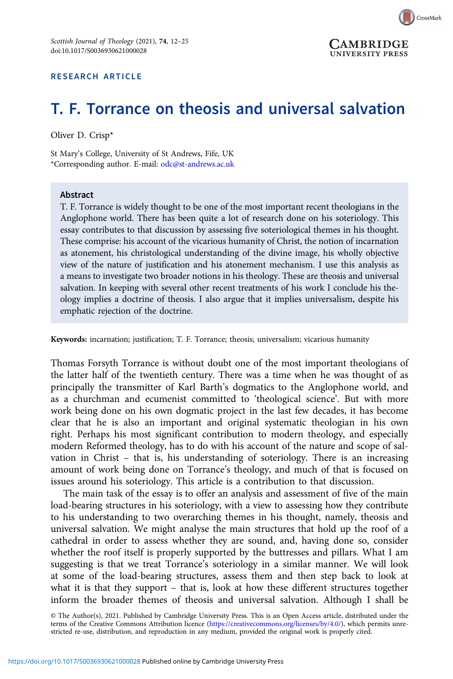

## RESEARCH ARTICLE

# T. F. Torrance on theosis and universal salvation

Oliver D. Crisp\*

St Mary's College, University of St Andrews, Fife, UK \*Corresponding author. E-mail: [odc@st-andrews.ac.uk](mailto:odc@st-andrews.ac.uk)

#### Abstract

T. F. Torrance is widely thought to be one of the most important recent theologians in the Anglophone world. There has been quite a lot of research done on his soteriology. This essay contributes to that discussion by assessing five soteriological themes in his thought. These comprise: his account of the vicarious humanity of Christ, the notion of incarnation as atonement, his christological understanding of the divine image, his wholly objective view of the nature of justification and his atonement mechanism. I use this analysis as a means to investigate two broader notions in his theology. These are theosis and universal salvation. In keeping with several other recent treatments of his work I conclude his theology implies a doctrine of theosis. I also argue that it implies universalism, despite his emphatic rejection of the doctrine.

Keywords: incarnation; justification; T. F. Torrance; theosis; universalism; vicarious humanity

Thomas Forsyth Torrance is without doubt one of the most important theologians of the latter half of the twentieth century. There was a time when he was thought of as principally the transmitter of Karl Barth's dogmatics to the Anglophone world, and as a churchman and ecumenist committed to 'theological science'. But with more work being done on his own dogmatic project in the last few decades, it has become clear that he is also an important and original systematic theologian in his own right. Perhaps his most significant contribution to modern theology, and especially modern Reformed theology, has to do with his account of the nature and scope of salvation in Christ – that is, his understanding of soteriology. There is an increasing amount of work being done on Torrance's theology, and much of that is focused on issues around his soteriology. This article is a contribution to that discussion.

The main task of the essay is to offer an analysis and assessment of five of the main load-bearing structures in his soteriology, with a view to assessing how they contribute to his understanding to two overarching themes in his thought, namely, theosis and universal salvation. We might analyse the main structures that hold up the roof of a cathedral in order to assess whether they are sound, and, having done so, consider whether the roof itself is properly supported by the buttresses and pillars. What I am suggesting is that we treat Torrance's soteriology in a similar manner. We will look at some of the load-bearing structures, assess them and then step back to look at what it is that they support – that is, look at how these different structures together inform the broader themes of theosis and universal salvation. Although I shall be

© The Author(s), 2021. Published by Cambridge University Press. This is an Open Access article, distributed under the terms of the Creative Commons Attribution licence [\(https://creativecommons.org/licenses/by/4.0/](https://creativecommons.org/licenses/by/4.0/)), which permits unrestricted re-use, distribution, and reproduction in any medium, provided the original work is properly cited.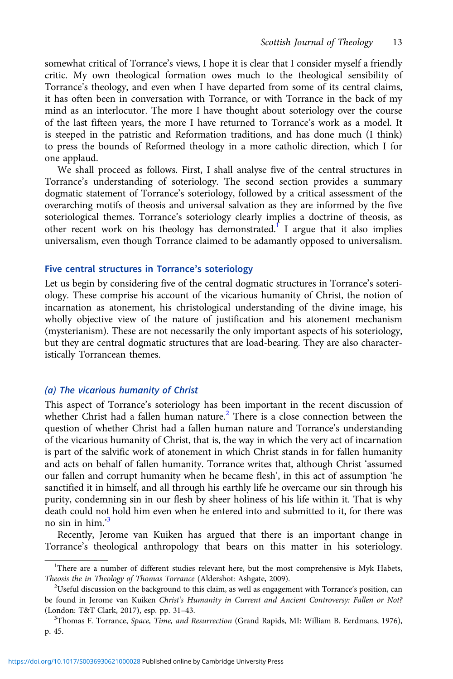somewhat critical of Torrance's views, I hope it is clear that I consider myself a friendly critic. My own theological formation owes much to the theological sensibility of Torrance's theology, and even when I have departed from some of its central claims, it has often been in conversation with Torrance, or with Torrance in the back of my mind as an interlocutor. The more I have thought about soteriology over the course of the last fifteen years, the more I have returned to Torrance's work as a model. It is steeped in the patristic and Reformation traditions, and has done much (I think) to press the bounds of Reformed theology in a more catholic direction, which I for one applaud.

We shall proceed as follows. First, I shall analyse five of the central structures in Torrance's understanding of soteriology. The second section provides a summary dogmatic statement of Torrance's soteriology, followed by a critical assessment of the overarching motifs of theosis and universal salvation as they are informed by the five soteriological themes. Torrance's soteriology clearly implies a doctrine of theosis, as other recent work on his theology has demonstrated.<sup>1</sup> I argue that it also implies universalism, even though Torrance claimed to be adamantly opposed to universalism.

### Five central structures in Torrance's soteriology

Let us begin by considering five of the central dogmatic structures in Torrance's soteriology. These comprise his account of the vicarious humanity of Christ, the notion of incarnation as atonement, his christological understanding of the divine image, his wholly objective view of the nature of justification and his atonement mechanism (mysterianism). These are not necessarily the only important aspects of his soteriology, but they are central dogmatic structures that are load-bearing. They are also characteristically Torrancean themes.

## (a) The vicarious humanity of Christ

This aspect of Torrance's soteriology has been important in the recent discussion of whether Christ had a fallen human nature.<sup>2</sup> There is a close connection between the question of whether Christ had a fallen human nature and Torrance's understanding of the vicarious humanity of Christ, that is, the way in which the very act of incarnation is part of the salvific work of atonement in which Christ stands in for fallen humanity and acts on behalf of fallen humanity. Torrance writes that, although Christ 'assumed our fallen and corrupt humanity when he became flesh', in this act of assumption 'he sanctified it in himself, and all through his earthly life he overcame our sin through his purity, condemning sin in our flesh by sheer holiness of his life within it. That is why death could not hold him even when he entered into and submitted to it, for there was no sin in him.' 3

Recently, Jerome van Kuiken has argued that there is an important change in Torrance's theological anthropology that bears on this matter in his soteriology.

<sup>&</sup>lt;sup>1</sup>There are a number of different studies relevant here, but the most comprehensive is Myk Habets, Theosis the in Theology of Thomas Torrance (Aldershot: Ashgate, 2009). <sup>2</sup>

 $2$ Useful discussion on the background to this claim, as well as engagement with Torrance's position, can be found in Jerome van Kuiken Christ's Humanity in Current and Ancient Controversy: Fallen or Not? (London: T&T Clark, 2017), esp. pp. 31-43.

<sup>&</sup>lt;sup>3</sup>Thomas F. Torrance, Space, Time, and Resurrection (Grand Rapids, MI: William B. Eerdmans, 1976), p. 45.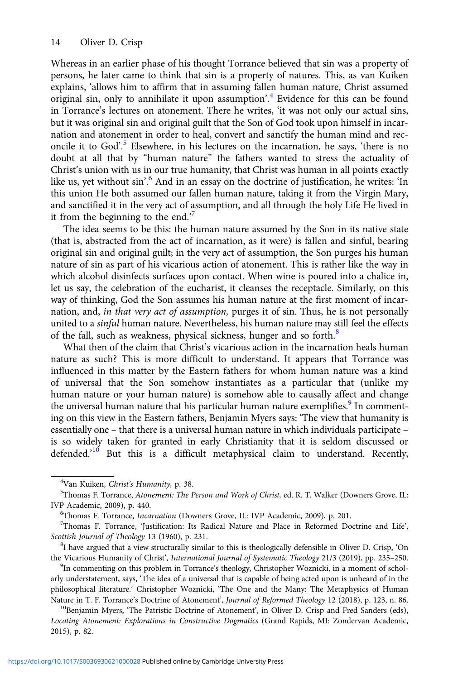Whereas in an earlier phase of his thought Torrance believed that sin was a property of persons, he later came to think that sin is a property of natures. This, as van Kuiken explains, 'allows him to affirm that in assuming fallen human nature, Christ assumed original sin, only to annihilate it upon assumption'.<sup>4</sup> Evidence for this can be found in Torrance's lectures on atonement. There he writes, 'it was not only our actual sins, but it was original sin and original guilt that the Son of God took upon himself in incarnation and atonement in order to heal, convert and sanctify the human mind and reconcile it to God'. <sup>5</sup> Elsewhere, in his lectures on the incarnation, he says, 'there is no doubt at all that by "human nature" the fathers wanted to stress the actuality of Christ's union with us in our true humanity, that Christ was human in all points exactly like us, yet without sin'. <sup>6</sup> And in an essay on the doctrine of justification, he writes: 'In this union He both assumed our fallen human nature, taking it from the Virgin Mary, and sanctified it in the very act of assumption, and all through the holy Life He lived in it from the beginning to the end.<sup>7</sup>

The idea seems to be this: the human nature assumed by the Son in its native state (that is, abstracted from the act of incarnation, as it were) is fallen and sinful, bearing original sin and original guilt; in the very act of assumption, the Son purges his human nature of sin as part of his vicarious action of atonement. This is rather like the way in which alcohol disinfects surfaces upon contact. When wine is poured into a chalice in, let us say, the celebration of the eucharist, it cleanses the receptacle. Similarly, on this way of thinking, God the Son assumes his human nature at the first moment of incarnation, and, in that very act of assumption, purges it of sin. Thus, he is not personally united to a sinful human nature. Nevertheless, his human nature may still feel the effects of the fall, such as weakness, physical sickness, hunger and so forth.<sup>8</sup>

What then of the claim that Christ's vicarious action in the incarnation heals human nature as such? This is more difficult to understand. It appears that Torrance was influenced in this matter by the Eastern fathers for whom human nature was a kind of universal that the Son somehow instantiates as a particular that (unlike my human nature or your human nature) is somehow able to causally affect and change the universal human nature that his particular human nature exemplifies.<sup>9</sup> In commenting on this view in the Eastern fathers, Benjamin Myers says: 'The view that humanity is essentially one – that there is a universal human nature in which individuals participate – is so widely taken for granted in early Christianity that it is seldom discussed or defended.<sup>10</sup> But this is a difficult metaphysical claim to understand. Recently,

<sup>&</sup>lt;sup>4</sup>Van Kuiken, *Christ's Humanity*, p. 38.<br><sup>5</sup>Thomas E Torrance, Aton*ement: The* 1

<sup>&</sup>lt;sup>5</sup>Thomas F. Torrance, Atonement: The Person and Work of Christ, ed. R. T. Walker (Downers Grove, IL: IVP Academic, 2009), p. 440. <sup>6</sup>

<sup>&</sup>lt;sup>6</sup>Thomas F. Torrance, *Incarnation* (Downers Grove, IL: IVP Academic, 2009), p. 201.

Thomas F. Torrance, 'Justification: Its Radical Nature and Place in Reformed Doctrine and Life', Scottish Journal of Theology 13 (1960), p. 231.

 ${}^{8}I$  have argued that a view structurally similar to this is theologically defensible in Oliver D. Crisp, 'On the Vicarious Humanity of Christ', International Journal of Systematic Theology 21/3 (2019), pp. 235-250.

<sup>&</sup>lt;sup>9</sup>In commenting on this problem in Torrance's theology, Christopher Woznicki, in a moment of scholarly understatement, says, 'The idea of a universal that is capable of being acted upon is unheard of in the philosophical literature.' Christopher Woznicki, 'The One and the Many: The Metaphysics of Human Nature in T. F. Torrance's Doctrine of Atonement', Journal of Reformed Theology 12 (2018), p. 123, n. 86. <sup>10</sup>Benjamin Myers, 'The Patristic Doctrine of Atonement', in Oliver D. Crisp and Fred Sanders (eds),

Locating Atonement: Explorations in Constructive Dogmatics (Grand Rapids, MI: Zondervan Academic, 2015), p. 82.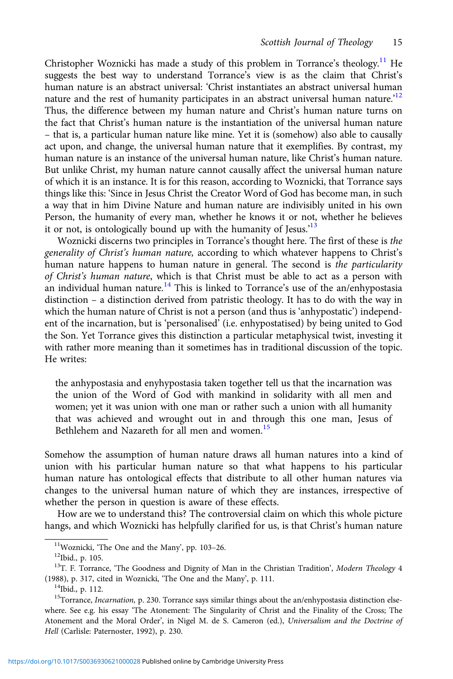Christopher Woznicki has made a study of this problem in Torrance's theology.11 He suggests the best way to understand Torrance's view is as the claim that Christ's human nature is an abstract universal: 'Christ instantiates an abstract universal human nature and the rest of humanity participates in an abstract universal human nature.<sup>12</sup> Thus, the difference between my human nature and Christ's human nature turns on the fact that Christ's human nature is the instantiation of the universal human nature – that is, a particular human nature like mine. Yet it is (somehow) also able to causally act upon, and change, the universal human nature that it exemplifies. By contrast, my human nature is an instance of the universal human nature, like Christ's human nature. But unlike Christ, my human nature cannot causally affect the universal human nature of which it is an instance. It is for this reason, according to Woznicki, that Torrance says things like this: 'Since in Jesus Christ the Creator Word of God has become man, in such a way that in him Divine Nature and human nature are indivisibly united in his own Person, the humanity of every man, whether he knows it or not, whether he believes it or not, is ontologically bound up with the humanity of Jesus.<sup>13</sup>

Woznicki discerns two principles in Torrance's thought here. The first of these is the generality of Christ's human nature, according to which whatever happens to Christ's human nature happens to human nature in general. The second is the particularity of Christ's human nature, which is that Christ must be able to act as a person with an individual human nature.<sup>14</sup> This is linked to Torrance's use of the an/enhypostasia distinction – a distinction derived from patristic theology. It has to do with the way in which the human nature of Christ is not a person (and thus is 'anhypostatic') independent of the incarnation, but is 'personalised' (i.e. enhypostatised) by being united to God the Son. Yet Torrance gives this distinction a particular metaphysical twist, investing it with rather more meaning than it sometimes has in traditional discussion of the topic. He writes:

the anhypostasia and enyhypostasia taken together tell us that the incarnation was the union of the Word of God with mankind in solidarity with all men and women; yet it was union with one man or rather such a union with all humanity that was achieved and wrought out in and through this one man, Jesus of Bethlehem and Nazareth for all men and women.<sup>15</sup>

Somehow the assumption of human nature draws all human natures into a kind of union with his particular human nature so that what happens to his particular human nature has ontological effects that distribute to all other human natures via changes to the universal human nature of which they are instances, irrespective of whether the person in question is aware of these effects.

How are we to understand this? The controversial claim on which this whole picture hangs, and which Woznicki has helpfully clarified for us, is that Christ's human nature

<sup>&</sup>lt;sup>11</sup>Woznicki, 'The One and the Many', pp. 103-26.<br><sup>12</sup>Ibid., p. 105.

<sup>&</sup>lt;sup>13</sup>T. F. Torrance, 'The Goodness and Dignity of Man in the Christian Tradition', Modern Theology 4 (1988), p. 317, cited in Woznicki, 'The One and the Many', p. 111.  $14$ Ibid., p. 112.

<sup>&</sup>lt;sup>15</sup>Torrance, *Incarnation*, p. 230. Torrance says similar things about the an/enhypostasia distinction elsewhere. See e.g. his essay 'The Atonement: The Singularity of Christ and the Finality of the Cross; The Atonement and the Moral Order', in Nigel M. de S. Cameron (ed.), Universalism and the Doctrine of Hell (Carlisle: Paternoster, 1992), p. 230.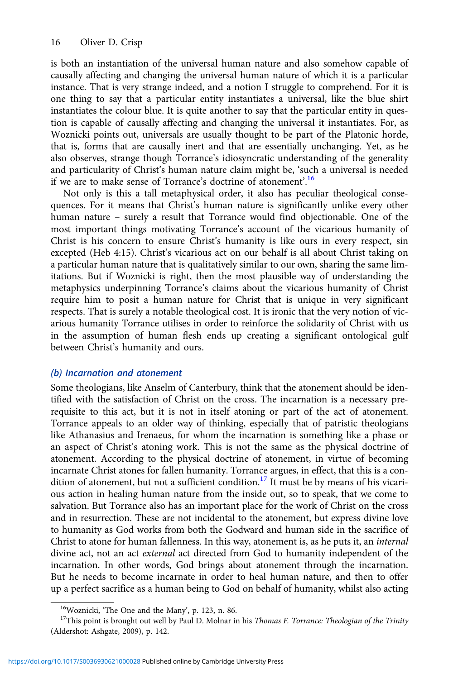is both an instantiation of the universal human nature and also somehow capable of causally affecting and changing the universal human nature of which it is a particular instance. That is very strange indeed, and a notion I struggle to comprehend. For it is one thing to say that a particular entity instantiates a universal, like the blue shirt instantiates the colour blue. It is quite another to say that the particular entity in question is capable of causally affecting and changing the universal it instantiates. For, as Woznicki points out, universals are usually thought to be part of the Platonic horde, that is, forms that are causally inert and that are essentially unchanging. Yet, as he also observes, strange though Torrance's idiosyncratic understanding of the generality and particularity of Christ's human nature claim might be, 'such a universal is needed if we are to make sense of Torrance's doctrine of atonement'.<sup>16</sup>

Not only is this a tall metaphysical order, it also has peculiar theological consequences. For it means that Christ's human nature is significantly unlike every other human nature – surely a result that Torrance would find objectionable. One of the most important things motivating Torrance's account of the vicarious humanity of Christ is his concern to ensure Christ's humanity is like ours in every respect, sin excepted (Heb 4:15). Christ's vicarious act on our behalf is all about Christ taking on a particular human nature that is qualitatively similar to our own, sharing the same limitations. But if Woznicki is right, then the most plausible way of understanding the metaphysics underpinning Torrance's claims about the vicarious humanity of Christ require him to posit a human nature for Christ that is unique in very significant respects. That is surely a notable theological cost. It is ironic that the very notion of vicarious humanity Torrance utilises in order to reinforce the solidarity of Christ with us in the assumption of human flesh ends up creating a significant ontological gulf between Christ's humanity and ours.

# (b) Incarnation and atonement

Some theologians, like Anselm of Canterbury, think that the atonement should be identified with the satisfaction of Christ on the cross. The incarnation is a necessary prerequisite to this act, but it is not in itself atoning or part of the act of atonement. Torrance appeals to an older way of thinking, especially that of patristic theologians like Athanasius and Irenaeus, for whom the incarnation is something like a phase or an aspect of Christ's atoning work. This is not the same as the physical doctrine of atonement. According to the physical doctrine of atonement, in virtue of becoming incarnate Christ atones for fallen humanity. Torrance argues, in effect, that this is a condition of atonement, but not a sufficient condition.<sup>17</sup> It must be by means of his vicarious action in healing human nature from the inside out, so to speak, that we come to salvation. But Torrance also has an important place for the work of Christ on the cross and in resurrection. These are not incidental to the atonement, but express divine love to humanity as God works from both the Godward and human side in the sacrifice of Christ to atone for human fallenness. In this way, atonement is, as he puts it, an internal divine act, not an act external act directed from God to humanity independent of the incarnation. In other words, God brings about atonement through the incarnation. But he needs to become incarnate in order to heal human nature, and then to offer up a perfect sacrifice as a human being to God on behalf of humanity, whilst also acting

<sup>&</sup>lt;sup>16</sup>Woznicki, 'The One and the Many', p. 123, n. 86.<br><sup>17</sup>This point is brought out well by Paul D. Molnar in his *Thomas F. Torrance: Theologian of the Trinity* (Aldershot: Ashgate, 2009), p. 142.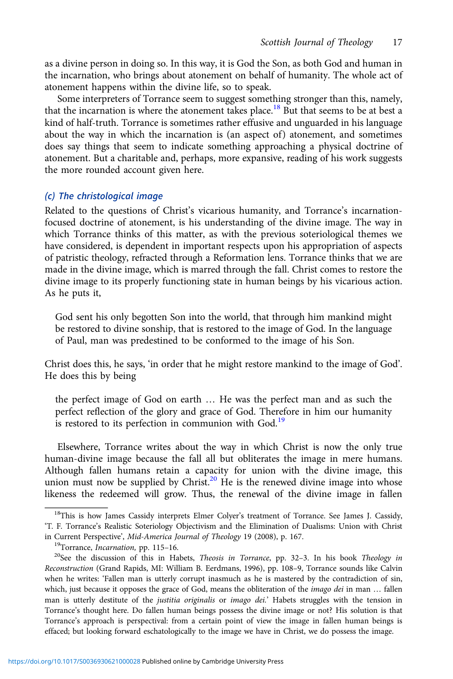as a divine person in doing so. In this way, it is God the Son, as both God and human in the incarnation, who brings about atonement on behalf of humanity. The whole act of atonement happens within the divine life, so to speak.

Some interpreters of Torrance seem to suggest something stronger than this, namely, that the incarnation is where the atonement takes place.<sup>18</sup> But that seems to be at best a kind of half-truth. Torrance is sometimes rather effusive and unguarded in his language about the way in which the incarnation is (an aspect of) atonement, and sometimes does say things that seem to indicate something approaching a physical doctrine of atonement. But a charitable and, perhaps, more expansive, reading of his work suggests the more rounded account given here.

## (c) The christological image

Related to the questions of Christ's vicarious humanity, and Torrance's incarnationfocused doctrine of atonement, is his understanding of the divine image. The way in which Torrance thinks of this matter, as with the previous soteriological themes we have considered, is dependent in important respects upon his appropriation of aspects of patristic theology, refracted through a Reformation lens. Torrance thinks that we are made in the divine image, which is marred through the fall. Christ comes to restore the divine image to its properly functioning state in human beings by his vicarious action. As he puts it,

God sent his only begotten Son into the world, that through him mankind might be restored to divine sonship, that is restored to the image of God. In the language of Paul, man was predestined to be conformed to the image of his Son.

Christ does this, he says, 'in order that he might restore mankind to the image of God'. He does this by being

the perfect image of God on earth … He was the perfect man and as such the perfect reflection of the glory and grace of God. Therefore in him our humanity is restored to its perfection in communion with God.<sup>19</sup>

Elsewhere, Torrance writes about the way in which Christ is now the only true human-divine image because the fall all but obliterates the image in mere humans. Although fallen humans retain a capacity for union with the divine image, this union must now be supplied by Christ.<sup>20</sup> He is the renewed divine image into whose likeness the redeemed will grow. Thus, the renewal of the divine image in fallen

<sup>&</sup>lt;sup>18</sup>This is how James Cassidy interprets Elmer Colyer's treatment of Torrance. See James J. Cassidy, 'T. F. Torrance's Realistic Soteriology Objectivism and the Elimination of Dualisms: Union with Christ in Current Perspective', Mid-America Journal of Theology 19 (2008), p. 167.<br><sup>19</sup>Torrance, Incarnation, pp. 115–16.<br><sup>20</sup>See the discussion of this in Habets, *Theosis in Torrance*, pp. 32–3. In his book *Theology in* 

Reconstruction (Grand Rapids, MI: William B. Eerdmans, 1996), pp. 108–9, Torrance sounds like Calvin when he writes: 'Fallen man is utterly corrupt inasmuch as he is mastered by the contradiction of sin, which, just because it opposes the grace of God, means the obliteration of the imago dei in man ... fallen man is utterly destitute of the *justitia originalis* or *imago dei.*' Habets struggles with the tension in Torrance's thought here. Do fallen human beings possess the divine image or not? His solution is that Torrance's approach is perspectival: from a certain point of view the image in fallen human beings is effaced; but looking forward eschatologically to the image we have in Christ, we do possess the image.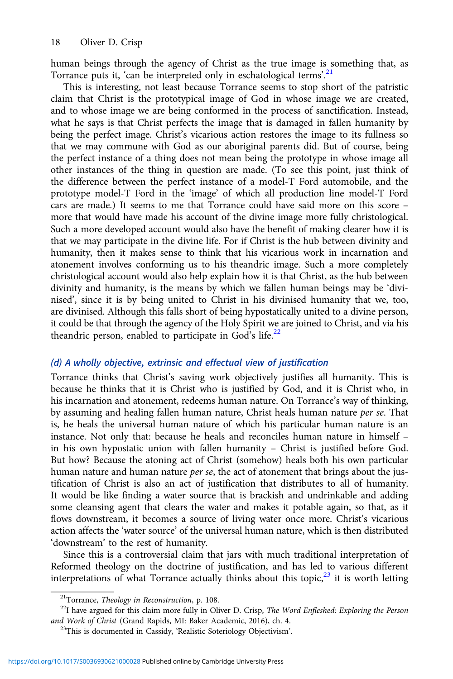human beings through the agency of Christ as the true image is something that, as Torrance puts it, 'can be interpreted only in eschatological terms'.<sup>21</sup>

This is interesting, not least because Torrance seems to stop short of the patristic claim that Christ is the prototypical image of God in whose image we are created, and to whose image we are being conformed in the process of sanctification. Instead, what he says is that Christ perfects the image that is damaged in fallen humanity by being the perfect image. Christ's vicarious action restores the image to its fullness so that we may commune with God as our aboriginal parents did. But of course, being the perfect instance of a thing does not mean being the prototype in whose image all other instances of the thing in question are made. (To see this point, just think of the difference between the perfect instance of a model-T Ford automobile, and the prototype model-T Ford in the 'image' of which all production line model-T Ford cars are made.) It seems to me that Torrance could have said more on this score – more that would have made his account of the divine image more fully christological. Such a more developed account would also have the benefit of making clearer how it is that we may participate in the divine life. For if Christ is the hub between divinity and humanity, then it makes sense to think that his vicarious work in incarnation and atonement involves conforming us to his theandric image. Such a more completely christological account would also help explain how it is that Christ, as the hub between divinity and humanity, is the means by which we fallen human beings may be 'divinised', since it is by being united to Christ in his divinised humanity that we, too, are divinised. Although this falls short of being hypostatically united to a divine person, it could be that through the agency of the Holy Spirit we are joined to Christ, and via his theandric person, enabled to participate in God's life. $^{22}$ 

# (d) A wholly objective, extrinsic and effectual view of justification

Torrance thinks that Christ's saving work objectively justifies all humanity. This is because he thinks that it is Christ who is justified by God, and it is Christ who, in his incarnation and atonement, redeems human nature. On Torrance's way of thinking, by assuming and healing fallen human nature, Christ heals human nature per se. That is, he heals the universal human nature of which his particular human nature is an instance. Not only that: because he heals and reconciles human nature in himself – in his own hypostatic union with fallen humanity – Christ is justified before God. But how? Because the atoning act of Christ (somehow) heals both his own particular human nature and human nature *per se*, the act of atonement that brings about the justification of Christ is also an act of justification that distributes to all of humanity. It would be like finding a water source that is brackish and undrinkable and adding some cleansing agent that clears the water and makes it potable again, so that, as it flows downstream, it becomes a source of living water once more. Christ's vicarious action affects the 'water source' of the universal human nature, which is then distributed 'downstream' to the rest of humanity.

Since this is a controversial claim that jars with much traditional interpretation of Reformed theology on the doctrine of justification, and has led to various different interpretations of what Torrance actually thinks about this topic,<sup>23</sup> it is worth letting

<sup>&</sup>lt;sup>21</sup>Torrance, *Theology in Reconstruction*, p. 108.<br><sup>22</sup>I have argued for this claim more fully in Oliver D. Crisp, *The Word Enfleshed: Exploring the Person and Work of Christ* (Grand Rapids, MI: Baker Academic, 2016),

<sup>&</sup>lt;sup>23</sup>This is documented in Cassidy, 'Realistic Soteriology Objectivism'.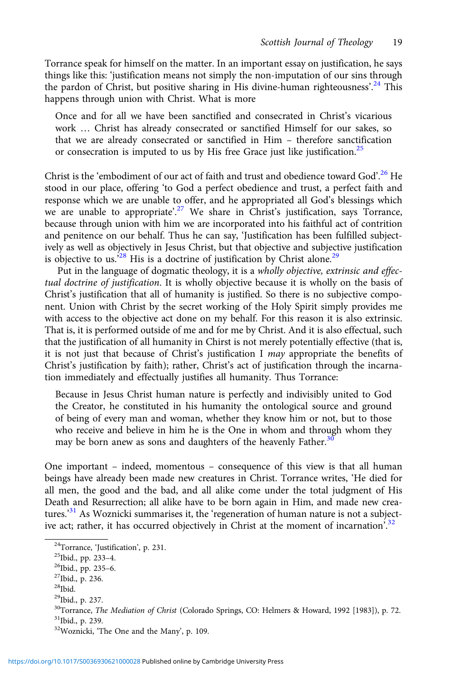Torrance speak for himself on the matter. In an important essay on justification, he says things like this: 'justification means not simply the non-imputation of our sins through the pardon of Christ, but positive sharing in His divine-human righteousness'.<sup>24</sup> This happens through union with Christ. What is more

Once and for all we have been sanctified and consecrated in Christ's vicarious work … Christ has already consecrated or sanctified Himself for our sakes, so that we are already consecrated or sanctified in Him – therefore sanctification or consecration is imputed to us by His free Grace just like justification.<sup>25</sup>

Christ is the 'embodiment of our act of faith and trust and obedience toward God'.<sup>26</sup> He stood in our place, offering 'to God a perfect obedience and trust, a perfect faith and response which we are unable to offer, and he appropriated all God's blessings which we are unable to appropriate'.<sup>27</sup> We share in Christ's justification, says Torrance, because through union with him we are incorporated into his faithful act of contrition and penitence on our behalf. Thus he can say, 'Justification has been fulfilled subjectively as well as objectively in Jesus Christ, but that objective and subjective justification is objective to us.<sup>528</sup> His is a doctrine of justification by Christ alone.<sup>29</sup>

Put in the language of dogmatic theology, it is a wholly objective, extrinsic and effectual doctrine of justification. It is wholly objective because it is wholly on the basis of Christ's justification that all of humanity is justified. So there is no subjective component. Union with Christ by the secret working of the Holy Spirit simply provides me with access to the objective act done on my behalf. For this reason it is also extrinsic. That is, it is performed outside of me and for me by Christ. And it is also effectual, such that the justification of all humanity in Chirst is not merely potentially effective (that is, it is not just that because of Christ's justification I may appropriate the benefits of Christ's justification by faith); rather, Christ's act of justification through the incarnation immediately and effectually justifies all humanity. Thus Torrance:

Because in Jesus Christ human nature is perfectly and indivisibly united to God the Creator, he constituted in his humanity the ontological source and ground of being of every man and woman, whether they know him or not, but to those who receive and believe in him he is the One in whom and through whom they may be born anew as sons and daughters of the heavenly Father.<sup>30</sup>

One important – indeed, momentous – consequence of this view is that all human beings have already been made new creatures in Christ. Torrance writes, 'He died for all men, the good and the bad, and all alike come under the total judgment of His Death and Resurrection; all alike have to be born again in Him, and made new creatures.<sup>31</sup> As Woznicki summarises it, the 'regeneration of human nature is not a subjective act; rather, it has occurred objectively in Christ at the moment of incarnation<sup>'32</sup>

<sup>&</sup>lt;sup>24</sup>Torrance, 'Justification', p. 231.<br><sup>25</sup>Ibid., pp. 233–4.<br><sup>26</sup>Ibid., pp. 235–6. <sup>27</sup>Ibid., p. 236.

 $\rm{^{28}Ibid.}$ 

<sup>29</sup>Ibid., p. 237.

 $30$ Torrance, *The Mediation of Christ* (Colorado Springs, CO: Helmers & Howard, 1992 [1983]), p. 72.  $31$ <sub>Ibid.</sub>, p. 239.

<sup>32</sup>Woznicki, 'The One and the Many', p. 109.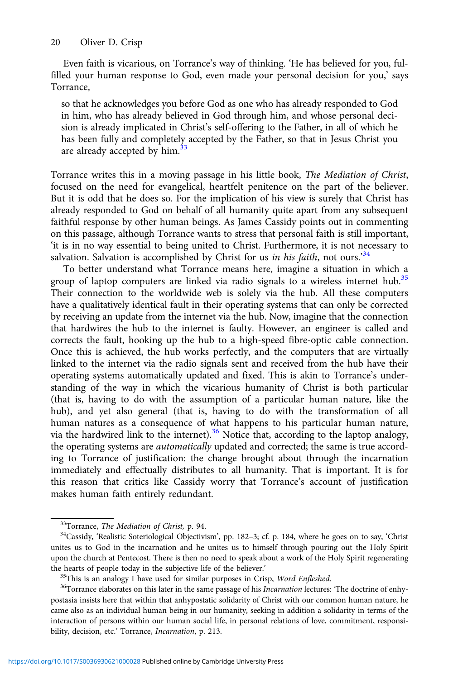Even faith is vicarious, on Torrance's way of thinking. 'He has believed for you, fulfilled your human response to God, even made your personal decision for you,' says Torrance,

so that he acknowledges you before God as one who has already responded to God in him, who has already believed in God through him, and whose personal decision is already implicated in Christ's self-offering to the Father, in all of which he has been fully and completely accepted by the Father, so that in Jesus Christ you are already accepted by him.<sup>33</sup>

Torrance writes this in a moving passage in his little book, The Mediation of Christ, focused on the need for evangelical, heartfelt penitence on the part of the believer. But it is odd that he does so. For the implication of his view is surely that Christ has already responded to God on behalf of all humanity quite apart from any subsequent faithful response by other human beings. As James Cassidy points out in commenting on this passage, although Torrance wants to stress that personal faith is still important, 'it is in no way essential to being united to Christ. Furthermore, it is not necessary to salvation. Salvation is accomplished by Christ for us in his faith, not ours.<sup>34</sup>

To better understand what Torrance means here, imagine a situation in which a group of laptop computers are linked via radio signals to a wireless internet hub.<sup>35</sup> Their connection to the worldwide web is solely via the hub. All these computers have a qualitatively identical fault in their operating systems that can only be corrected by receiving an update from the internet via the hub. Now, imagine that the connection that hardwires the hub to the internet is faulty. However, an engineer is called and corrects the fault, hooking up the hub to a high-speed fibre-optic cable connection. Once this is achieved, the hub works perfectly, and the computers that are virtually linked to the internet via the radio signals sent and received from the hub have their operating systems automatically updated and fixed. This is akin to Torrance's understanding of the way in which the vicarious humanity of Christ is both particular (that is, having to do with the assumption of a particular human nature, like the hub), and yet also general (that is, having to do with the transformation of all human natures as a consequence of what happens to his particular human nature, via the hardwired link to the internet).<sup>36</sup> Notice that, according to the laptop analogy, the operating systems are automatically updated and corrected; the same is true according to Torrance of justification: the change brought about through the incarnation immediately and effectually distributes to all humanity. That is important. It is for this reason that critics like Cassidy worry that Torrance's account of justification makes human faith entirely redundant.

 $33$ Torrance, *The Mediation of Christ*, p. 94.<br> $34$ Cassidy, 'Realistic Soteriological Objectivism', pp. 182–3; cf. p. 184, where he goes on to say, 'Christ unites us to God in the incarnation and he unites us to himself through pouring out the Holy Spirit upon the church at Pentecost. There is then no need to speak about a work of the Holy Spirit regenerating the hearts of people today in the subjective life of the believer.<br><sup>35</sup>This is an analogy I have used for similar purposes in Crisp, *Word Enfleshed*.<br><sup>36</sup>Torrance elaborates on this later in the same passage of his *Incar* 

postasia insists here that within that anhypostatic solidarity of Christ with our common human nature, he came also as an individual human being in our humanity, seeking in addition a solidarity in terms of the interaction of persons within our human social life, in personal relations of love, commitment, responsibility, decision, etc.' Torrance, Incarnation, p. 213.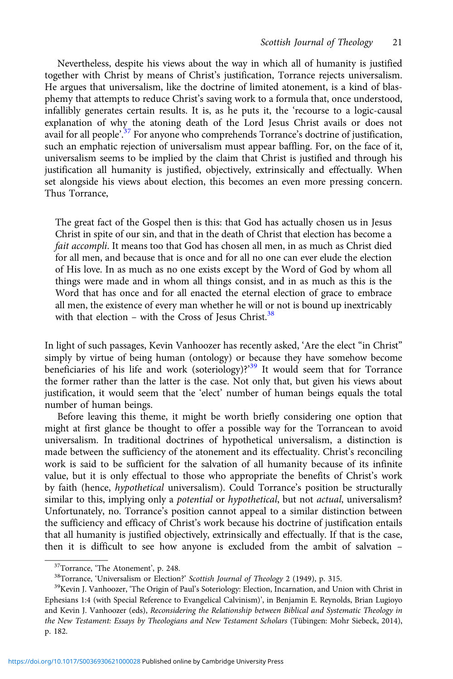Nevertheless, despite his views about the way in which all of humanity is justified together with Christ by means of Christ's justification, Torrance rejects universalism. He argues that universalism, like the doctrine of limited atonement, is a kind of blasphemy that attempts to reduce Christ's saving work to a formula that, once understood, infallibly generates certain results. It is, as he puts it, the 'recourse to a logic-causal explanation of why the atoning death of the Lord Jesus Christ avails or does not avail for all people'.<sup>37</sup> For anyone who comprehends Torrance's doctrine of justification, such an emphatic rejection of universalism must appear baffling. For, on the face of it, universalism seems to be implied by the claim that Christ is justified and through his justification all humanity is justified, objectively, extrinsically and effectually. When set alongside his views about election, this becomes an even more pressing concern. Thus Torrance,

The great fact of the Gospel then is this: that God has actually chosen us in Jesus Christ in spite of our sin, and that in the death of Christ that election has become a fait accompli. It means too that God has chosen all men, in as much as Christ died for all men, and because that is once and for all no one can ever elude the election of His love. In as much as no one exists except by the Word of God by whom all things were made and in whom all things consist, and in as much as this is the Word that has once and for all enacted the eternal election of grace to embrace all men, the existence of every man whether he will or not is bound up inextricably with that election – with the Cross of Jesus Christ.<sup>38</sup>

In light of such passages, Kevin Vanhoozer has recently asked, 'Are the elect "in Christ" simply by virtue of being human (ontology) or because they have somehow become beneficiaries of his life and work (soteriology)?<sup>39</sup> It would seem that for Torrance the former rather than the latter is the case. Not only that, but given his views about justification, it would seem that the 'elect' number of human beings equals the total number of human beings.

Before leaving this theme, it might be worth briefly considering one option that might at first glance be thought to offer a possible way for the Torrancean to avoid universalism. In traditional doctrines of hypothetical universalism, a distinction is made between the sufficiency of the atonement and its effectuality. Christ's reconciling work is said to be sufficient for the salvation of all humanity because of its infinite value, but it is only effectual to those who appropriate the benefits of Christ's work by faith (hence, hypothetical universalism). Could Torrance's position be structurally similar to this, implying only a potential or hypothetical, but not actual, universalism? Unfortunately, no. Torrance's position cannot appeal to a similar distinction between the sufficiency and efficacy of Christ's work because his doctrine of justification entails that all humanity is justified objectively, extrinsically and effectually. If that is the case, then it is difficult to see how anyone is excluded from the ambit of salvation –

<sup>&</sup>lt;sup>37</sup>Torrance, 'The Atonement', p. 248.<br><sup>38</sup>Torrance, 'Universalism or Election?' *Scottish Journal of Theology* 2 (1949), p. 315.<br><sup>39</sup>Kevin J. Vanhoozer, 'The Origin of Paul's Soteriology: Election, Incarnation, and Union Ephesians 1:4 (with Special Reference to Evangelical Calvinism)', in Benjamin E. Reynolds, Brian Lugioyo and Kevin J. Vanhoozer (eds), Reconsidering the Relationship between Biblical and Systematic Theology in the New Testament: Essays by Theologians and New Testament Scholars (Tübingen: Mohr Siebeck, 2014), p. 182.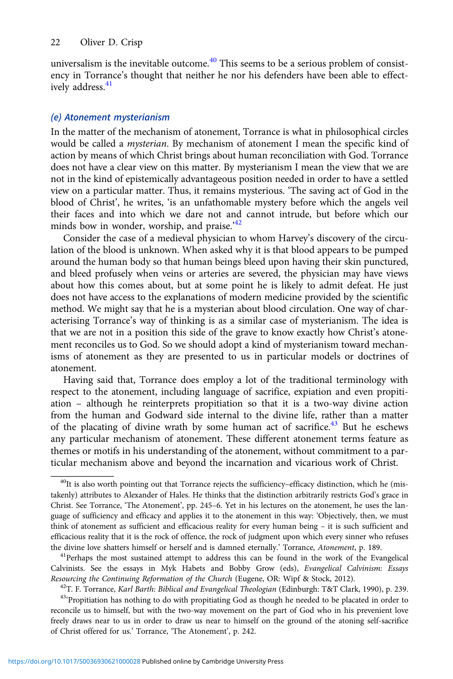universalism is the inevitable outcome. $40$  This seems to be a serious problem of consistency in Torrance's thought that neither he nor his defenders have been able to effectively address.<sup>41</sup>

## (e) Atonement mysterianism

In the matter of the mechanism of atonement, Torrance is what in philosophical circles would be called a mysterian. By mechanism of atonement I mean the specific kind of action by means of which Christ brings about human reconciliation with God. Torrance does not have a clear view on this matter. By mysterianism I mean the view that we are not in the kind of epistemically advantageous position needed in order to have a settled view on a particular matter. Thus, it remains mysterious. 'The saving act of God in the blood of Christ', he writes, 'is an unfathomable mystery before which the angels veil their faces and into which we dare not and cannot intrude, but before which our minds bow in wonder, worship, and praise.<sup>'42</sup>

Consider the case of a medieval physician to whom Harvey's discovery of the circulation of the blood is unknown. When asked why it is that blood appears to be pumped around the human body so that human beings bleed upon having their skin punctured, and bleed profusely when veins or arteries are severed, the physician may have views about how this comes about, but at some point he is likely to admit defeat. He just does not have access to the explanations of modern medicine provided by the scientific method. We might say that he is a mysterian about blood circulation. One way of characterising Torrance's way of thinking is as a similar case of mysterianism. The idea is that we are not in a position this side of the grave to know exactly how Christ's atonement reconciles us to God. So we should adopt a kind of mysterianism toward mechanisms of atonement as they are presented to us in particular models or doctrines of atonement.

Having said that, Torrance does employ a lot of the traditional terminology with respect to the atonement, including language of sacrifice, expiation and even propitiation – although he reinterprets propitiation so that it is a two-way divine action from the human and Godward side internal to the divine life, rather than a matter of the placating of divine wrath by some human act of sacrifice.<sup>43</sup> But he eschews any particular mechanism of atonement. These different atonement terms feature as themes or motifs in his understanding of the atonement, without commitment to a particular mechanism above and beyond the incarnation and vicarious work of Christ.

 $^{40}$ It is also worth pointing out that Torrance rejects the sufficiency–efficacy distinction, which he (mistakenly) attributes to Alexander of Hales. He thinks that the distinction arbitrarily restricts God's grace in Christ. See Torrance, 'The Atonement', pp. 245–6. Yet in his lectures on the atonement, he uses the language of sufficiency and efficacy and applies it to the atonement in this way: 'Objectively, then, we must think of atonement as sufficient and efficacious reality for every human being – it is such sufficient and efficacious reality that it is the rock of offence, the rock of judgment upon which every sinner who refuses the divine love shatters himself or herself and is damned eternally.' Torrance, Atonement, p. 189.<br><sup>41</sup>Perhaps the most sustained attempt to address this can be found in the work of the Evangelical

Calvinists. See the essays in Myk Habets and Bobby Grow (eds), Evangelical Calvinism: Essays

Resourcing the Continuing Reformation of the Church (Eugene, OR: Wipf & Stock, 2012).<br><sup>42</sup>T. F. Torrance, *Karl Barth: Biblical and Evangelical Theologian* (Edinburgh: T&T Clark, 1990), p. 239.<br><sup>43</sup>°Propitiation has nothi reconcile us to himself, but with the two-way movement on the part of God who in his prevenient love freely draws near to us in order to draw us near to himself on the ground of the atoning self-sacrifice of Christ offered for us.' Torrance, 'The Atonement', p. 242.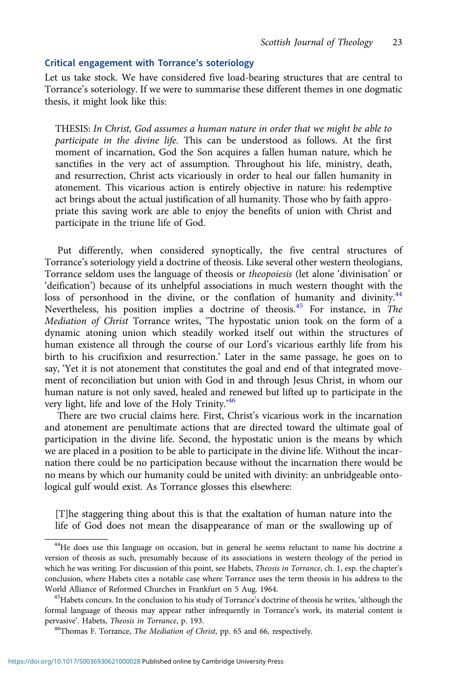### Critical engagement with Torrance's soteriology

Let us take stock. We have considered five load-bearing structures that are central to Torrance's soteriology. If we were to summarise these different themes in one dogmatic thesis, it might look like this:

THESIS: In Christ, God assumes a human nature in order that we might be able to participate in the divine life. This can be understood as follows. At the first moment of incarnation, God the Son acquires a fallen human nature, which he sanctifies in the very act of assumption. Throughout his life, ministry, death, and resurrection, Christ acts vicariously in order to heal our fallen humanity in atonement. This vicarious action is entirely objective in nature: his redemptive act brings about the actual justification of all humanity. Those who by faith appropriate this saving work are able to enjoy the benefits of union with Christ and participate in the triune life of God.

Put differently, when considered synoptically, the five central structures of Torrance's soteriology yield a doctrine of theosis. Like several other western theologians, Torrance seldom uses the language of theosis or theopoiesis (let alone 'divinisation' or 'deification') because of its unhelpful associations in much western thought with the loss of personhood in the divine, or the conflation of humanity and divinity.<sup>44</sup> Nevertheless, his position implies a doctrine of theosis.<sup>45</sup> For instance, in The Mediation of Christ Torrance writes, 'The hypostatic union took on the form of a dynamic atoning union which steadily worked itself out within the structures of human existence all through the course of our Lord's vicarious earthly life from his birth to his crucifixion and resurrection.' Later in the same passage, he goes on to say, 'Yet it is not atonement that constitutes the goal and end of that integrated movement of reconciliation but union with God in and through Jesus Christ, in whom our human nature is not only saved, healed and renewed but lifted up to participate in the very light, life and love of the Holy Trinity.<sup>346</sup>

There are two crucial claims here. First, Christ's vicarious work in the incarnation and atonement are penultimate actions that are directed toward the ultimate goal of participation in the divine life. Second, the hypostatic union is the means by which we are placed in a position to be able to participate in the divine life. Without the incarnation there could be no participation because without the incarnation there would be no means by which our humanity could be united with divinity: an unbridgeable ontological gulf would exist. As Torrance glosses this elsewhere:

[T]he staggering thing about this is that the exaltation of human nature into the life of God does not mean the disappearance of man or the swallowing up of

 $^{44}$ He does use this language on occasion, but in general he seems reluctant to name his doctrine a version of theosis as such, presumably because of its associations in western theology of the period in which he was writing. For discussion of this point, see Habets, *Theosis in Torrance*, ch. 1, esp. the chapter's conclusion, where Habets cites a notable case where Torrance uses the term theosis in his address to the World Alliance of Reformed Churches in Frankfurt on 5 Aug. 1964.<br><sup>45</sup>Habets concurs. In the conclusion to his study of Torrance's doctrine of theosis he writes, 'although the

formal language of theosis may appear rather infrequently in Torrance's work, its material content is pervasive'. Habets, *Theosis in Torrance*, p. 193.<br><sup>46</sup>Thomas F. Torrance, *The Mediation of Christ*, pp. 65 and 66, respectively.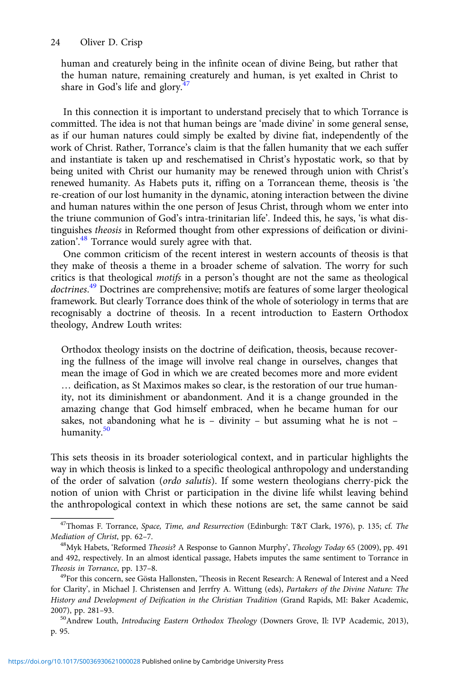human and creaturely being in the infinite ocean of divine Being, but rather that the human nature, remaining creaturely and human, is yet exalted in Christ to share in God's life and glory.<sup>4</sup>

In this connection it is important to understand precisely that to which Torrance is committed. The idea is not that human beings are 'made divine' in some general sense, as if our human natures could simply be exalted by divine fiat, independently of the work of Christ. Rather, Torrance's claim is that the fallen humanity that we each suffer and instantiate is taken up and reschematised in Christ's hypostatic work, so that by being united with Christ our humanity may be renewed through union with Christ's renewed humanity. As Habets puts it, riffing on a Torrancean theme, theosis is 'the re-creation of our lost humanity in the dynamic, atoning interaction between the divine and human natures within the one person of Jesus Christ, through whom we enter into the triune communion of God's intra-trinitarian life'. Indeed this, he says, 'is what distinguishes theosis in Reformed thought from other expressions of deification or divinization'.<sup>48</sup> Torrance would surely agree with that.

One common criticism of the recent interest in western accounts of theosis is that they make of theosis a theme in a broader scheme of salvation. The worry for such critics is that theological motifs in a person's thought are not the same as theological doctrines.<sup>49</sup> Doctrines are comprehensive; motifs are features of some larger theological framework. But clearly Torrance does think of the whole of soteriology in terms that are recognisably a doctrine of theosis. In a recent introduction to Eastern Orthodox theology, Andrew Louth writes:

Orthodox theology insists on the doctrine of deification, theosis, because recovering the fullness of the image will involve real change in ourselves, changes that mean the image of God in which we are created becomes more and more evident … deification, as St Maximos makes so clear, is the restoration of our true humanity, not its diminishment or abandonment. And it is a change grounded in the amazing change that God himself embraced, when he became human for our sakes, not abandoning what he is – divinity – but assuming what he is not – humanity.<sup>50</sup>

This sets theosis in its broader soteriological context, and in particular highlights the way in which theosis is linked to a specific theological anthropology and understanding of the order of salvation (ordo salutis). If some western theologians cherry-pick the notion of union with Christ or participation in the divine life whilst leaving behind the anthropological context in which these notions are set, the same cannot be said

<sup>&</sup>lt;sup>47</sup>Thomas F. Torrance, Space, Time, and Resurrection (Edinburgh: T&T Clark, 1976), p. 135; cf. The Mediation of Christ, pp. 62–7.<br><sup>48</sup>Myk Habets, 'Reformed *Theosis*? A Response to Gannon Murphy', *Theology Today* 65 (2009), pp. 491

and 492, respectively. In an almost identical passage, Habets imputes the same sentiment to Torrance in Theosis in Torrance, pp. 137–8.<br><sup>49</sup>For this concern, see Gösta Hallonsten, 'Theosis in Recent Research: A Renewal of Interest and a Need

for Clarity', in Michael J. Christensen and Jerrfry A. Wittung (eds), Partakers of the Divine Nature: The History and Development of Deification in the Christian Tradition (Grand Rapids, MI: Baker Academic, 2007), pp. 281–93.<br><sup>50</sup>Andrew Louth, *Introducing Eastern Orthodox Theology* (Downers Grove, Il: IVP Academic, 2013),

p. 95.